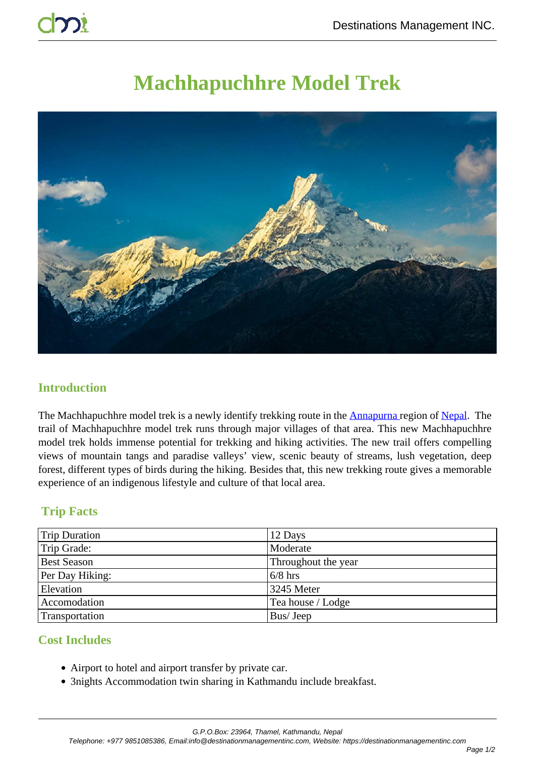# **Machhapuchhre Model Trek**



#### **Introduction**

The Machhapuchhre model trek is a newly identify trekking route in the **Annapurna** region of Nepal. The trail of Machhapuchhre model trek runs through major villages of that area. This new Machhapuchhre model trek holds immense potential for trekking and hiking activities. The new trail offers compelling views of mountain tangs and paradise valleys' view, scenic beauty of streams, lush vegetation, deep forest, different types of birds during the hiking. Besides that, this new trekking route gives a memorable experience of an indigenous lifestyle and culture of that local area.

## **Trip Facts**

| <b>Trip Duration</b> | 12 Days             |
|----------------------|---------------------|
| Trip Grade:          | Moderate            |
| <b>Best Season</b>   | Throughout the year |
| Per Day Hiking:      | $6/8$ hrs           |
| Elevation            | 3245 Meter          |
| Accomodation         | Tea house / Lodge   |
| Transportation       | Bus/Jeep            |

## **Cost Includes**

- Airport to hotel and airport transfer by private car.
- 3nights Accommodation twin sharing in Kathmandu include breakfast.

G.P.O.Box: 23964, Thamel, Kathmandu, Nepal

Telephone: +977 9851085386, Email:info@destinationmanagementinc.com, Website: https://destinationmanagementinc.com